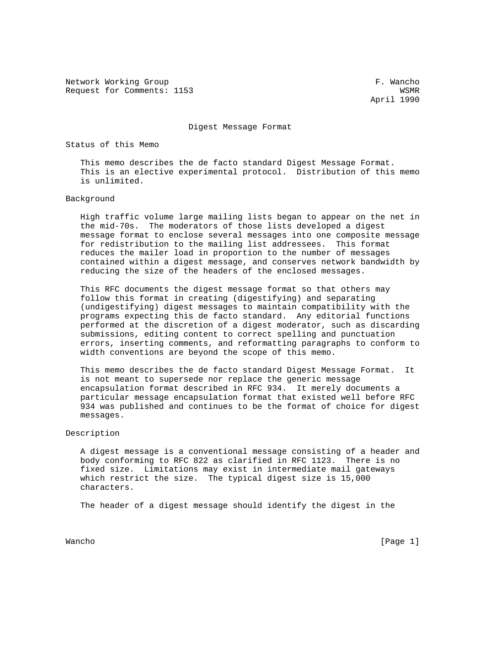Network Working Group extension of the set of the set of the set of the set of the set of the set of the set of the set of the set of the set of the set of the set of the set of the set of the set of the set of the set of Request for Comments: 1153 WSMR

April 1990

## Digest Message Format

Status of this Memo

 This memo describes the de facto standard Digest Message Format. This is an elective experimental protocol. Distribution of this memo is unlimited.

## Background

 High traffic volume large mailing lists began to appear on the net in the mid-70s. The moderators of those lists developed a digest message format to enclose several messages into one composite message for redistribution to the mailing list addressees. This format reduces the mailer load in proportion to the number of messages contained within a digest message, and conserves network bandwidth by reducing the size of the headers of the enclosed messages.

 This RFC documents the digest message format so that others may follow this format in creating (digestifying) and separating (undigestifying) digest messages to maintain compatibility with the programs expecting this de facto standard. Any editorial functions performed at the discretion of a digest moderator, such as discarding submissions, editing content to correct spelling and punctuation errors, inserting comments, and reformatting paragraphs to conform to width conventions are beyond the scope of this memo.

 This memo describes the de facto standard Digest Message Format. It is not meant to supersede nor replace the generic message encapsulation format described in RFC 934. It merely documents a particular message encapsulation format that existed well before RFC 934 was published and continues to be the format of choice for digest messages.

Description

 A digest message is a conventional message consisting of a header and body conforming to RFC 822 as clarified in RFC 1123. There is no fixed size. Limitations may exist in intermediate mail gateways which restrict the size. The typical digest size is 15,000 characters.

The header of a digest message should identify the digest in the

Wancho [Page 1]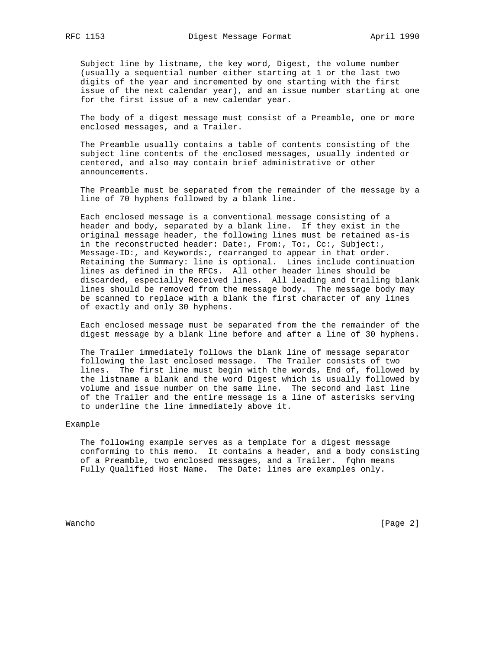Subject line by listname, the key word, Digest, the volume number (usually a sequential number either starting at 1 or the last two digits of the year and incremented by one starting with the first issue of the next calendar year), and an issue number starting at one for the first issue of a new calendar year.

 The body of a digest message must consist of a Preamble, one or more enclosed messages, and a Trailer.

 The Preamble usually contains a table of contents consisting of the subject line contents of the enclosed messages, usually indented or centered, and also may contain brief administrative or other announcements.

 The Preamble must be separated from the remainder of the message by a line of 70 hyphens followed by a blank line.

 Each enclosed message is a conventional message consisting of a header and body, separated by a blank line. If they exist in the original message header, the following lines must be retained as-is in the reconstructed header: Date:, From:, To:, Cc:, Subject:, Message-ID:, and Keywords:, rearranged to appear in that order. Retaining the Summary: line is optional. Lines include continuation lines as defined in the RFCs. All other header lines should be discarded, especially Received lines. All leading and trailing blank lines should be removed from the message body. The message body may be scanned to replace with a blank the first character of any lines of exactly and only 30 hyphens.

 Each enclosed message must be separated from the the remainder of the digest message by a blank line before and after a line of 30 hyphens.

 The Trailer immediately follows the blank line of message separator following the last enclosed message. The Trailer consists of two lines. The first line must begin with the words, End of, followed by the listname a blank and the word Digest which is usually followed by volume and issue number on the same line. The second and last line of the Trailer and the entire message is a line of asterisks serving to underline the line immediately above it.

## Example

 The following example serves as a template for a digest message conforming to this memo. It contains a header, and a body consisting of a Preamble, two enclosed messages, and a Trailer. fqhn means Fully Qualified Host Name. The Date: lines are examples only.

Wancho [Page 2]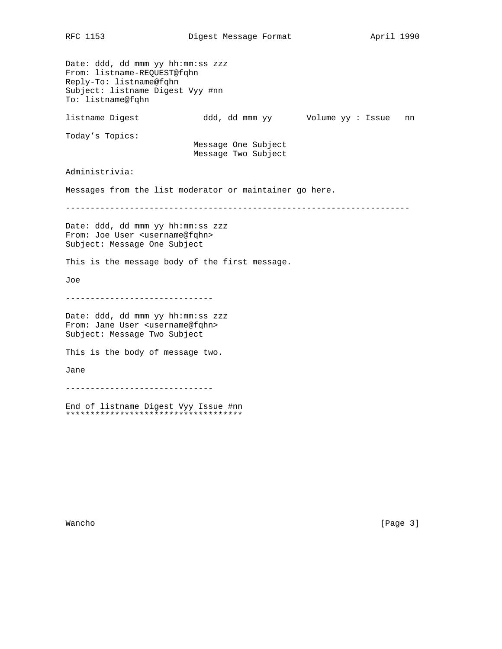Date: ddd, dd mmm yy hh:mm:ss zzz From: listname-REQUEST@fqhn Reply-To: listname@fqhn Subject: listname Digest Vyy #nn To: listname@fqhn listname Digest ddd, dd mmm yy Volume yy : Issue nn Today's Topics: Message One Subject Message Two Subject Administrivia: Messages from the list moderator or maintainer go here. ---------------------------------------------------------------------- Date: ddd, dd mmm yy hh:mm:ss zzz From: Joe User <username@fqhn> Subject: Message One Subject This is the message body of the first message. Joe ------------------------------ Date: ddd, dd mmm yy hh:mm:ss zzz From: Jane User <username@fqhn> Subject: Message Two Subject This is the body of message two. Jane ------------------------------ End of listname Digest Vyy Issue #nn

\*\*\*\*\*\*\*\*\*\*\*\*\*\*\*\*\*\*\*\*\*\*\*\*\*\*\*\*\*\*\*\*\*\*\*\*

Wancho [Page 3]